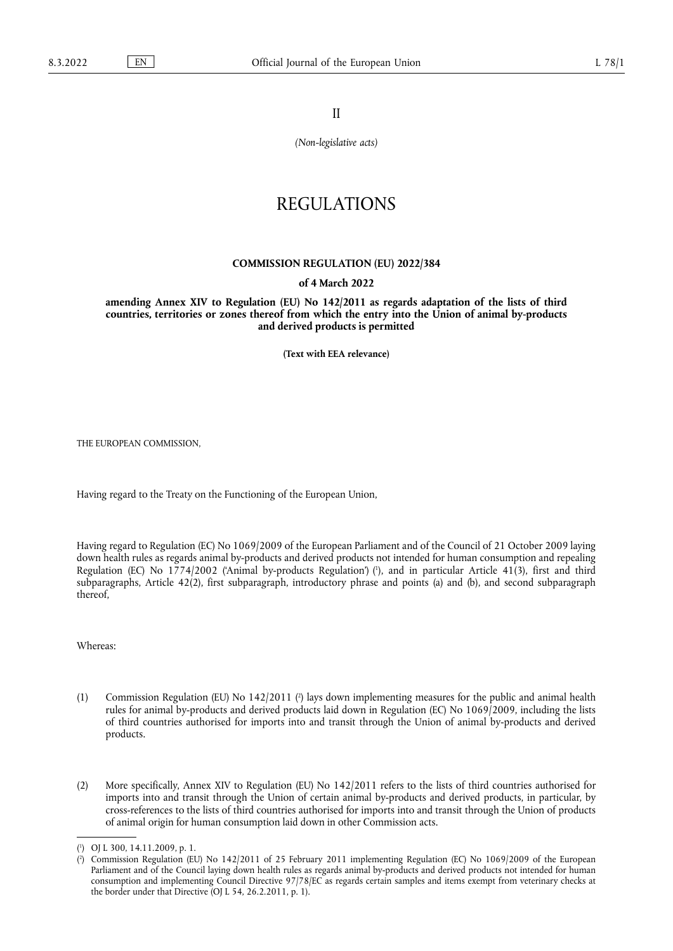II

*(Non-legislative acts)*

# REGULATIONS

### **COMMISSION REGULATION (EU) 2022/384**

# **of 4 March 2022**

**amending Annex XIV to Regulation (EU) No 142/2011 as regards adaptation of the lists of third countries, territories or zones thereof from which the entry into the Union of animal by-products and derived products is permitted** 

**(Text with EEA relevance)** 

THE EUROPEAN COMMISSION,

Having regard to the Treaty on the Functioning of the European Union,

<span id="page-0-2"></span>Having regard to Regulation (EC) No 1069/2009 of the European Parliament and of the Council of 21 October 2009 laying down health rules as regards animal by-products and derived products not intended for human consumption and repealing Regulation (EC) No 1774/2002 ('Animal by-products Regulation') [\(](#page-0-0) 1 ), and in particular Article 41(3), first and third subparagraphs, Article 42(2), first subparagraph, introductory phrase and points (a) and (b), and second subparagraph thereof,

Whereas:

- <span id="page-0-3"></span>(1) Commission Regulation (EU) No 142/2011 [\(](#page-0-1) 2 ) lays down implementing measures for the public and animal health rules for animal by-products and derived products laid down in Regulation (EC) No 1069/2009, including the lists of third countries authorised for imports into and transit through the Union of animal by-products and derived products.
- (2) More specifically, Annex XIV to Regulation (EU) No 142/2011 refers to the lists of third countries authorised for imports into and transit through the Union of certain animal by-products and derived products, in particular, by cross-references to the lists of third countries authorised for imports into and transit through the Union of products of animal origin for human consumption laid down in other Commission acts.

<span id="page-0-0"></span>[<sup>\(</sup>](#page-0-2) 1 ) OJ L 300, 14.11.2009, p. 1.

<span id="page-0-1"></span> $($ <sup>2</sup> ) Commission Regulation (EU) No 142/2011 of 25 February 2011 implementing Regulation (EC) No 1069/2009 of the European Parliament and of the Council laying down health rules as regards animal by-products and derived products not intended for human consumption and implementing Council Directive 97/78/EC as regards certain samples and items exempt from veterinary checks at the border under that Directive (OJ L 54, 26.2.2011, p. 1).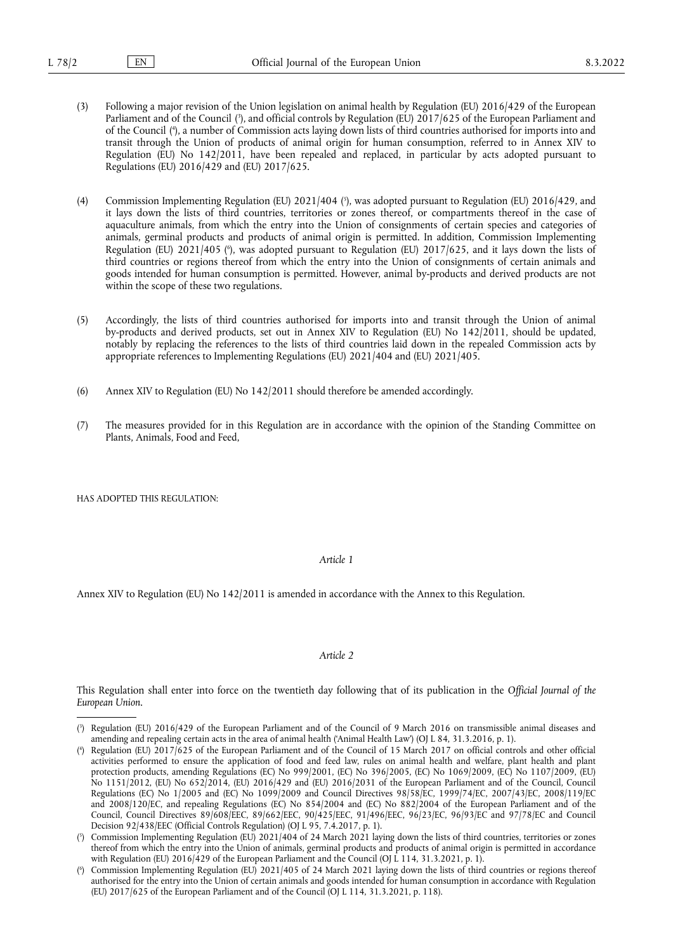- <span id="page-1-5"></span><span id="page-1-4"></span>(3) Following a major revision of the Union legislation on animal health by Regulation (EU) 2016/429 of the European Parliament and of the Council [\(](#page-1-0) 3 ), and official controls by Regulation (EU) 2017/625 of the European Parliament and of the Council [\(](#page-1-1) 4 ), a number of Commission acts laying down lists of third countries authorised for imports into and transit through the Union of products of animal origin for human consumption, referred to in Annex XIV to Regulation (EU) No 142/2011, have been repealed and replaced, in particular by acts adopted pursuant to Regulations (EU) 2016/429 and (EU) 2017/625.
- <span id="page-1-7"></span><span id="page-1-6"></span>[\(](#page-1-2)4) Commission Implementing Regulation (EU) 2021/404 (5), was adopted pursuant to Regulation (EU) 2016/429, and it lays down the lists of third countries, territories or zones thereof, or compartments thereof in the case of aquaculture animals, from which the entry into the Union of consignments of certain species and categories of animals, germinal products and products of animal origin is permitted. In addition, Commission Implementing Regulation [\(](#page-1-3)EU) 2021/405 (%), was adopted pursuant to Regulation (EU) 2017/625, and it lays down the lists of third countries or regions thereof from which the entry into the Union of consignments of certain animals and goods intended for human consumption is permitted. However, animal by-products and derived products are not within the scope of these two regulations.
- (5) Accordingly, the lists of third countries authorised for imports into and transit through the Union of animal by-products and derived products, set out in Annex XIV to Regulation (EU) No 142/2011, should be updated, notably by replacing the references to the lists of third countries laid down in the repealed Commission acts by appropriate references to Implementing Regulations (EU) 2021/404 and (EU) 2021/405.
- (6) Annex XIV to Regulation (EU) No 142/2011 should therefore be amended accordingly.
- (7) The measures provided for in this Regulation are in accordance with the opinion of the Standing Committee on Plants, Animals, Food and Feed,

HAS ADOPTED THIS REGULATION:

#### *Article 1*

Annex XIV to Regulation (EU) No 142/2011 is amended in accordance with the Annex to this Regulation.

#### *Article 2*

This Regulation shall enter into force on the twentieth day following that of its publication in the *Official Journal of the European Union*.

<span id="page-1-0"></span>[<sup>\(</sup>](#page-1-4) 3 ) Regulation (EU) 2016/429 of the European Parliament and of the Council of 9 March 2016 on transmissible animal diseases and amending and repealing certain acts in the area of animal health ('Animal Health Law') (OJ L 84, 31.3.2016, p. 1).

<span id="page-1-1"></span>[<sup>\(</sup>](#page-1-5) 4 ) Regulation (EU) 2017/625 of the European Parliament and of the Council of 15 March 2017 on official controls and other official activities performed to ensure the application of food and feed law, rules on animal health and welfare, plant health and plant protection products, amending Regulations (EC) No 999/2001, (EC) No 396/2005, (EC) No 1069/2009, (EC) No 1107/2009, (EU) No 1151/2012, (EU) No 652/2014, (EU) 2016/429 and (EU) 2016/2031 of the European Parliament and of the Council, Council Regulations (EC) No 1/2005 and (EC) No 1099/2009 and Council Directives 98/58/EC, 1999/74/EC, 2007/43/EC, 2008/119/EC and 2008/120/EC, and repealing Regulations (EC) No 854/2004 and (EC) No 882/2004 of the European Parliament and of the Council, Council Directives 89/608/EEC, 89/662/EEC, 90/425/EEC, 91/496/EEC, 96/23/EC, 96/93/EC and 97/78/EC and Council Decision 92/438/EEC (Official Controls Regulation) (OJ L 95, 7.4.2017, p. 1).

<span id="page-1-2"></span>[<sup>\(</sup>](#page-1-6) 5 ) Commission Implementing Regulation (EU) 2021/404 of 24 March 2021 laying down the lists of third countries, territories or zones thereof from which the entry into the Union of animals, germinal products and products of animal origin is permitted in accordance with Regulation (EU) 2016/429 of the European Parliament and the Council (OJ L 114, 31.3.2021, p. 1).

<span id="page-1-3"></span>[<sup>\(</sup>](#page-1-7) 6 ) Commission Implementing Regulation (EU) 2021/405 of 24 March 2021 laying down the lists of third countries or regions thereof authorised for the entry into the Union of certain animals and goods intended for human consumption in accordance with Regulation (EU) 2017/625 of the European Parliament and of the Council (OJ L 114, 31.3.2021, p. 118).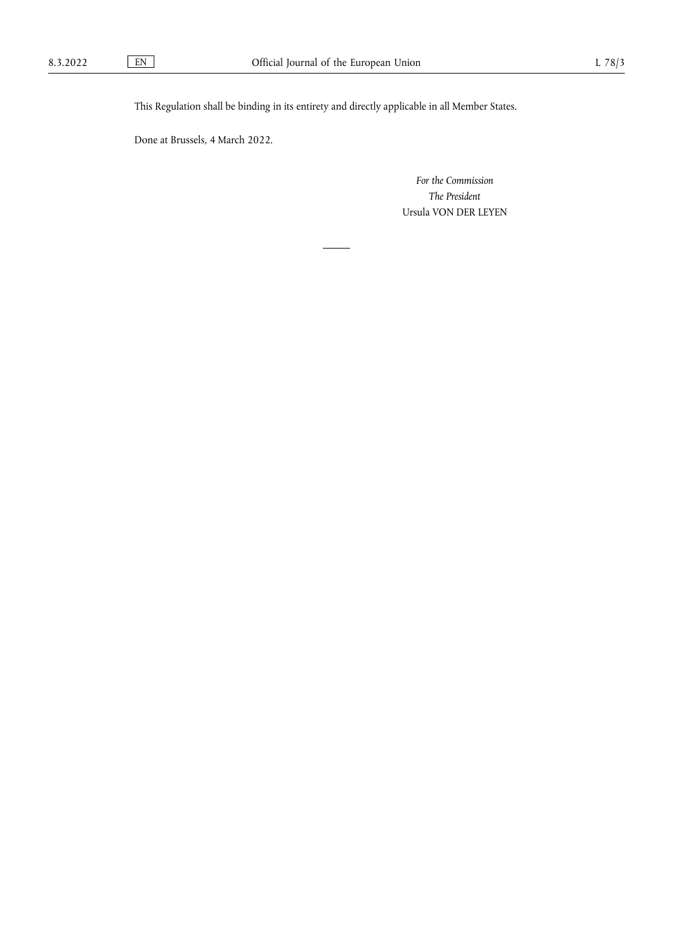This Regulation shall be binding in its entirety and directly applicable in all Member States.

Done at Brussels, 4 March 2022.

*For the Commission The President* Ursula VON DER LEYEN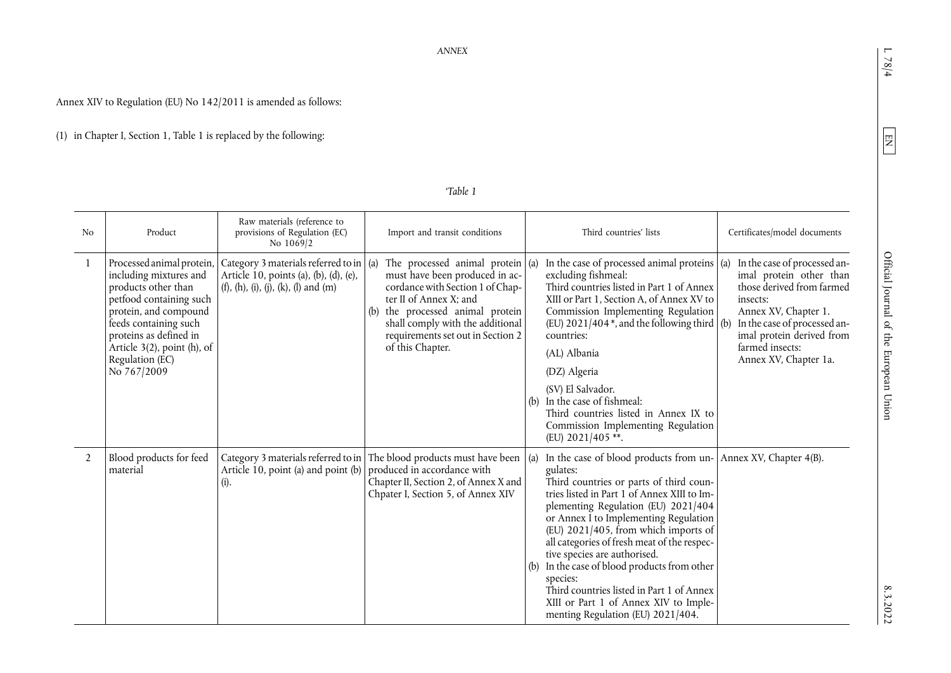# $L$  78/4  $\,$

<span id="page-3-1"></span>8.3.2022

Annex XIV to Regulation (EU) No 142/2011 is amended as follows:

(1) in Chapter I, Section 1, Table 1 is replaced by the following:

## <span id="page-3-0"></span>*'Table 1*

| No             | Product                                                                                                                                                                                                                                               | Raw materials (reference to<br>provisions of Regulation (EC)<br>No 1069/2                                                         | Import and transit conditions                                                                                                                                                                                                                                          | Third countries' lists                                                                                                                                                                                                                                                                                                                                                                                                                                                                                                                                                        | Certificates/model documents                                                                                                                                                                                                      |
|----------------|-------------------------------------------------------------------------------------------------------------------------------------------------------------------------------------------------------------------------------------------------------|-----------------------------------------------------------------------------------------------------------------------------------|------------------------------------------------------------------------------------------------------------------------------------------------------------------------------------------------------------------------------------------------------------------------|-------------------------------------------------------------------------------------------------------------------------------------------------------------------------------------------------------------------------------------------------------------------------------------------------------------------------------------------------------------------------------------------------------------------------------------------------------------------------------------------------------------------------------------------------------------------------------|-----------------------------------------------------------------------------------------------------------------------------------------------------------------------------------------------------------------------------------|
| $\mathbf{1}$   | Processed animal protein,<br>including mixtures and<br>products other than<br>petfood containing such<br>protein, and compound<br>feeds containing such<br>proteins as defined in<br>Article $3(2)$ , point (h), of<br>Regulation (EC)<br>No 767/2009 | Category 3 materials referred to in $\vert$ (a)<br>Article 10, points (a), (b), (d), (e),<br>(f), (h), (i), (j), (k), (l) and (m) | The processed animal protein $(a)$<br>must have been produced in ac-<br>cordance with Section 1 of Chap-<br>ter II of Annex X; and<br>the processed animal protein<br>(b)<br>shall comply with the additional<br>requirements set out in Section 2<br>of this Chapter. | In the case of processed animal proteins $\alpha$<br>excluding fishmeal:<br>Third countries listed in Part 1 of Annex<br>XIII or Part 1, Section A, of Annex XV to<br>Commission Implementing Regulation<br>(EU) $2021/404$ , and the following third (b)<br>countries:<br>(AL) Albania<br>(DZ) Algeria<br>(SV) El Salvador.<br>(b) In the case of fishmeal:<br>Third countries listed in Annex IX to<br>Commission Implementing Regulation<br>(EU) 2021/405**.                                                                                                               | In the case of processed an-<br>imal protein other than<br>those derived from farmed<br>insects:<br>Annex XV, Chapter 1.<br>In the case of processed an-<br>imal protein derived from<br>farmed insects:<br>Annex XV, Chapter 1a. |
| $\overline{2}$ | Blood products for feed<br>material                                                                                                                                                                                                                   | Article 10, point (a) and point (b)<br>(i).                                                                                       | Category 3 materials referred to in The blood products must have been<br>produced in accordance with<br>Chapter II, Section 2, of Annex X and<br>Chpater I, Section 5, of Annex XIV                                                                                    | In the case of blood products from un- $\vert$ Annex XV, Chapter 4(B).<br>(a)<br>gulates:<br>Third countries or parts of third coun-<br>tries listed in Part 1 of Annex XIII to Im-<br>plementing Regulation (EU) 2021/404<br>or Annex I to Implementing Regulation<br>(EU) 2021/405, from which imports of<br>all categories of fresh meat of the respec-<br>tive species are authorised.<br>In the case of blood products from other<br>species:<br>Third countries listed in Part 1 of Annex<br>XIII or Part 1 of Annex XIV to Imple-<br>menting Regulation (EU) 2021/404. |                                                                                                                                                                                                                                   |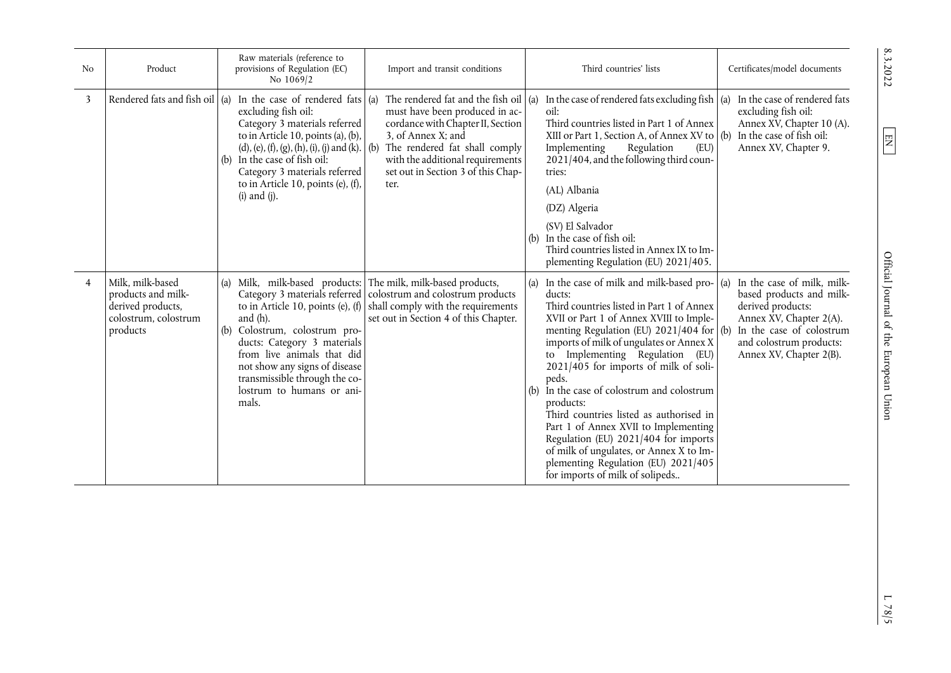| No             | Product                                                                                         | Raw materials (reference to<br>provisions of Regulation (EC)<br>No 1069/2                                                                                                                                                                                                                                                                               | Import and transit conditions                                                                                                                                                                                                                     | Third countries' lists                                                                                                                                                                                                                                                                                                                                                                                                                                                                                                                                                                                                                    | Certificates/model documents                                                                                                                                                                    |
|----------------|-------------------------------------------------------------------------------------------------|---------------------------------------------------------------------------------------------------------------------------------------------------------------------------------------------------------------------------------------------------------------------------------------------------------------------------------------------------------|---------------------------------------------------------------------------------------------------------------------------------------------------------------------------------------------------------------------------------------------------|-------------------------------------------------------------------------------------------------------------------------------------------------------------------------------------------------------------------------------------------------------------------------------------------------------------------------------------------------------------------------------------------------------------------------------------------------------------------------------------------------------------------------------------------------------------------------------------------------------------------------------------------|-------------------------------------------------------------------------------------------------------------------------------------------------------------------------------------------------|
| 3              |                                                                                                 | Rendered fats and fish oil (a) In the case of rendered fats $\alpha$<br>excluding fish oil:<br>Category 3 materials referred<br>to in Article 10, points (a), (b),<br>(d), (e), (f), (g), (h), (i), (j) and (k). $ $ (b)<br>In the case of fish oil:<br>(b)<br>Category 3 materials referred<br>to in Article 10, points (e), (f),<br>$(i)$ and $(j)$ . | The rendered fat and the fish oil<br>must have been produced in ac-<br>cordance with Chapter II, Section<br>3, of Annex X; and<br>The rendered fat shall comply<br>with the additional requirements<br>set out in Section 3 of this Chap-<br>ter. | In the case of rendered fats excluding fish $(a)$ In the case of rendered fats<br>(a)<br>oil:<br>Third countries listed in Part 1 of Annex<br>XIII or Part 1, Section A, of Annex XV to<br>Implementing<br>Regulation<br>(EU)<br>2021/404, and the following third coun-<br>tries:<br>(AL) Albania<br>(DZ) Algeria<br>(SV) El Salvador<br>(b) In the case of fish oil:<br>Third countries listed in Annex IX to Im-<br>plementing Regulation (EU) 2021/405.                                                                                                                                                                               | excluding fish oil:<br>Annex XV, Chapter 10 (A).<br>In the case of fish oil:<br>(b)<br>Annex XV, Chapter 9.                                                                                     |
| $\overline{4}$ | Milk, milk-based<br>products and milk-<br>derived products,<br>colostrum, colostrum<br>products | (a)<br>to in Article 10, points (e), $(f)$<br>and (h).<br>Colostrum, colostrum pro-<br>(b)<br>ducts: Category 3 materials<br>from live animals that did<br>not show any signs of disease<br>transmissible through the co-<br>lostrum to humans or ani-<br>mals.                                                                                         | Milk, milk-based products: The milk, milk-based products,<br>Category 3 materials referred   colostrum and colostrum products<br>shall comply with the requirements<br>set out in Section 4 of this Chapter.                                      | (a) In the case of milk and milk-based pro-<br>ducts:<br>Third countries listed in Part 1 of Annex<br>XVII or Part 1 of Annex XVIII to Imple-<br>menting Regulation (EU) $2021/404$ for (b)<br>imports of milk of ungulates or Annex X<br>to Implementing Regulation (EU)<br>2021/405 for imports of milk of soli-<br>peds.<br>In the case of colostrum and colostrum<br>(b)<br>products:<br>Third countries listed as authorised in<br>Part 1 of Annex XVII to Implementing<br>Regulation (EU) 2021/404 for imports<br>of milk of ungulates, or Annex X to Im-<br>plementing Regulation (EU) 2021/405<br>for imports of milk of solipeds | In the case of milk, milk-<br>(a)<br>based products and milk-<br>derived products:<br>Annex XV, Chapter 2(A).<br>In the case of colostrum<br>and colostrum products:<br>Annex XV, Chapter 2(B). |

8.3.2022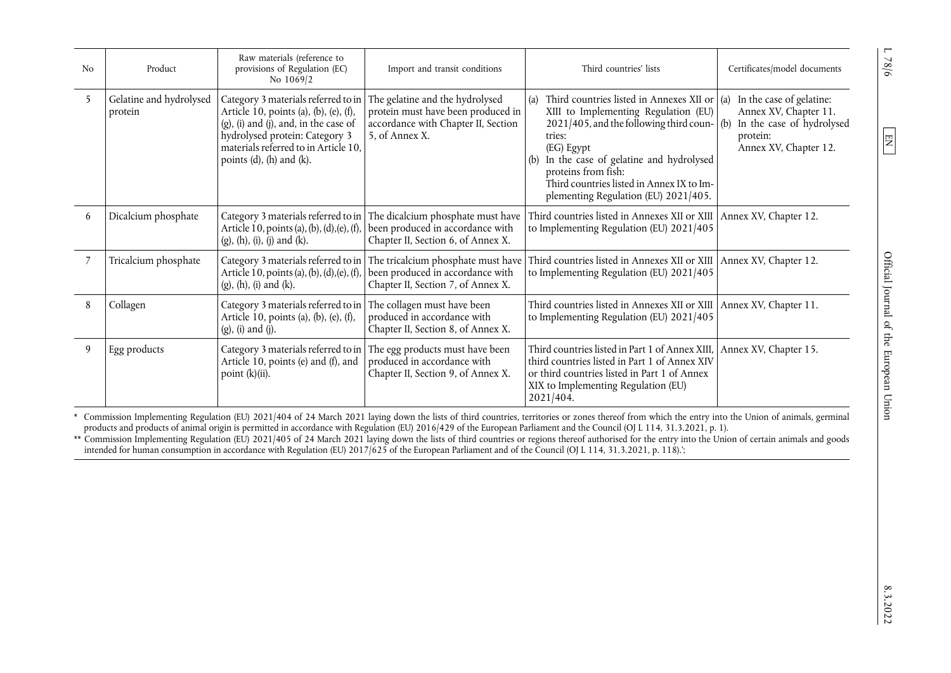| N <sub>0</sub> | Product                            | Raw materials (reference to<br>provisions of Regulation (EC)<br>No 1069/2                                                                                                                                                                                          | Import and transit conditions                                                                                                                    | Third countries' lists                                                                                                                                                                                                                                                                                                                    | Certificates/model documents                                                                                        |
|----------------|------------------------------------|--------------------------------------------------------------------------------------------------------------------------------------------------------------------------------------------------------------------------------------------------------------------|--------------------------------------------------------------------------------------------------------------------------------------------------|-------------------------------------------------------------------------------------------------------------------------------------------------------------------------------------------------------------------------------------------------------------------------------------------------------------------------------------------|---------------------------------------------------------------------------------------------------------------------|
| 5              | Gelatine and hydrolysed<br>protein | Category 3 materials referred to in The gelatine and the hydrolysed<br>Article 10, points (a), (b), (e), (f),<br>$(g)$ , (i) and $(j)$ , and, in the case of<br>hydrolysed protein: Category 3<br>materials referred to in Article 10,<br>points (d), (h) and (k). | protein must have been produced in<br>accordance with Chapter II, Section<br>5, of Annex X.                                                      | Third countries listed in Annexes XII or $\vert$ (a)<br>XIII to Implementing Regulation (EU)<br>$2021/405$ , and the following third coun- $($ b $)$<br>tries:<br>(EG) Egypt<br>In the case of gelatine and hydrolysed<br>(b)<br>proteins from fish:<br>Third countries listed in Annex IX to Im-<br>plementing Regulation (EU) 2021/405. | In the case of gelatine:<br>Annex XV, Chapter 11.<br>In the case of hydrolysed<br>protein:<br>Annex XV, Chapter 12. |
| 6              | Dicalcium phosphate                | Article 10, points (a), (b), (d), (e), (f),<br>$(g)$ , $(h)$ , $(i)$ , $(j)$ and $(k)$ .                                                                                                                                                                           | Category 3 materials referred to in The dicalcium phosphate must have<br>been produced in accordance with<br>Chapter II, Section 6, of Annex X.  | Third countries listed in Annexes XII or XIII Annex XV, Chapter 12.<br>to Implementing Regulation (EU) 2021/405                                                                                                                                                                                                                           |                                                                                                                     |
|                | Tricalcium phosphate               | Article 10, points (a), (b), (d), (e), (f),<br>$(g)$ , $(h)$ , $(i)$ and $(k)$ .                                                                                                                                                                                   | Category 3 materials referred to in The tricalcium phosphate must have<br>been produced in accordance with<br>Chapter II, Section 7, of Annex X. | Third countries listed in Annexes XII or XIII   Annex XV, Chapter 12.<br>to Implementing Regulation (EU) 2021/405                                                                                                                                                                                                                         |                                                                                                                     |
| 8              | Collagen                           | Category 3 materials referred to in The collagen must have been<br>Article 10, points (a), (b), (e), (f),<br>$(g)$ , $(i)$ and $(j)$ .                                                                                                                             | produced in accordance with<br>Chapter II, Section 8, of Annex X.                                                                                | Third countries listed in Annexes XII or XIII Annex XV, Chapter 11.<br>to Implementing Regulation (EU) 2021/405                                                                                                                                                                                                                           |                                                                                                                     |
| 9              | Egg products                       | Category 3 materials referred to in<br>Article 10, points (e) and (f), and<br>point (k)(ii).                                                                                                                                                                       | The egg products must have been<br>produced in accordance with<br>Chapter II, Section 9, of Annex X.                                             | Third countries listed in Part 1 of Annex XIII,<br>third countries listed in Part 1 of Annex XIV<br>or third countries listed in Part 1 of Annex<br>XIX to Implementing Regulation (EU)<br>2021/404.                                                                                                                                      | Annex XV, Chapter 15.                                                                                               |

[\\*](#page-3-0) Commission Implementing Regulation (EU) 2021/404 of 24 March 2021 laying down the lists of third countries, territories or zones thereof from which the entry into the Union of animals, germinal products and products of animal origin is permitted in accordance with Regulation (EU) 2016/429 of the European Parliament and the Council (OJ L 114, 31.3.2021, p. 1).<br>[\\*\\*](#page-3-1) Commission Implementing Regulation (EU) 2021/405 of

intended for human consumption in accordance with Regulation (EU) 2017/625 of the European Parliament and of the Council (OJ L 114, 31.3.2021, p. 118).';

 $1.78/6$ 

<span id="page-5-1"></span><span id="page-5-0"></span> $\boxed{\phantom{1}1}$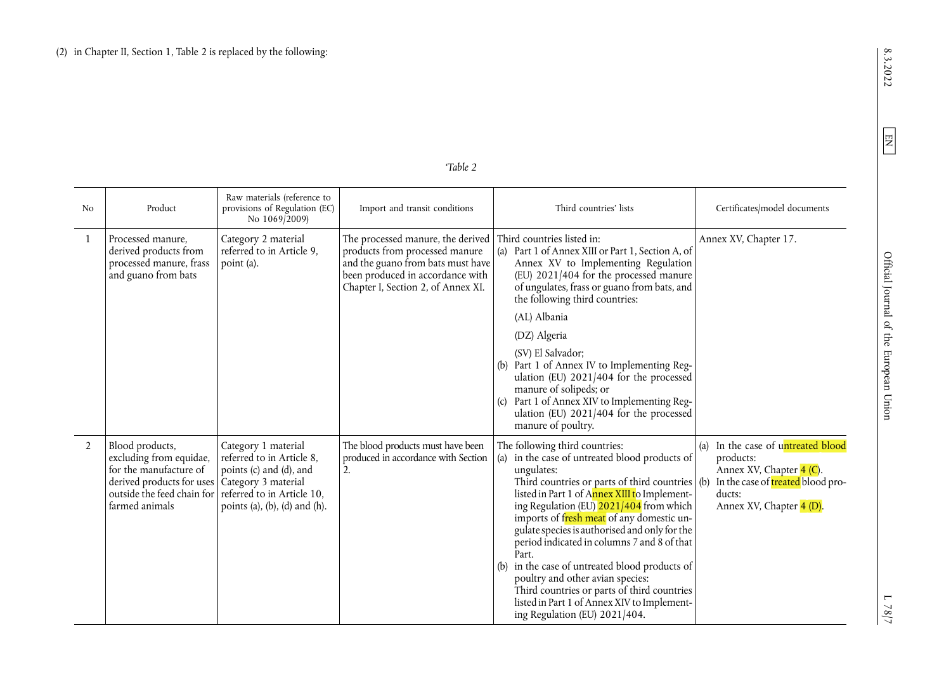| "<br>aт. |  |
|----------|--|
|          |  |

| N <sub>o</sub> | Product                                                                                                                                                                 | Raw materials (reference to<br>provisions of Regulation (EC)<br>No 1069/2009)                                                              | Import and transit conditions                                                                                                                                                      | Third countries' lists                                                                                                                                                                                                                                                                                                                                                                                                                                                                                                                                                                                                              | Certificates/model documents                                                                                                                           |
|----------------|-------------------------------------------------------------------------------------------------------------------------------------------------------------------------|--------------------------------------------------------------------------------------------------------------------------------------------|------------------------------------------------------------------------------------------------------------------------------------------------------------------------------------|-------------------------------------------------------------------------------------------------------------------------------------------------------------------------------------------------------------------------------------------------------------------------------------------------------------------------------------------------------------------------------------------------------------------------------------------------------------------------------------------------------------------------------------------------------------------------------------------------------------------------------------|--------------------------------------------------------------------------------------------------------------------------------------------------------|
| $\mathbf{1}$   | Processed manure,<br>derived products from<br>processed manure, frass<br>and guano from bats                                                                            | Category 2 material<br>referred to in Article 9,<br>point (a).                                                                             | The processed manure, the derived<br>products from processed manure<br>and the guano from bats must have<br>been produced in accordance with<br>Chapter I, Section 2, of Annex XI. | Third countries listed in:<br>Part 1 of Annex XIII or Part 1, Section A, of<br>(a)<br>Annex XV to Implementing Regulation<br>(EU) 2021/404 for the processed manure<br>of ungulates, frass or guano from bats, and<br>the following third countries:<br>(AL) Albania                                                                                                                                                                                                                                                                                                                                                                | Annex XV, Chapter 17.                                                                                                                                  |
|                |                                                                                                                                                                         |                                                                                                                                            |                                                                                                                                                                                    | (DZ) Algeria<br>(SV) El Salvador;<br>(b) Part 1 of Annex IV to Implementing Reg-<br>ulation (EU) 2021/404 for the processed<br>manure of solipeds; or<br>Part 1 of Annex XIV to Implementing Reg-<br>(c)<br>ulation (EU) 2021/404 for the processed<br>manure of poultry.                                                                                                                                                                                                                                                                                                                                                           |                                                                                                                                                        |
| $\overline{2}$ | Blood products,<br>excluding from equidae,<br>for the manufacture of<br>derived products for uses   Category 3 material<br>outside the feed chain for<br>farmed animals | Category 1 material<br>referred to in Article 8,<br>points (c) and (d), and<br>referred to in Article 10,<br>points (a), (b), (d) and (h). | The blood products must have been<br>produced in accordance with Section<br>2.                                                                                                     | The following third countries:<br>in the case of untreated blood products of<br>(a)<br>ungulates:<br>Third countries or parts of third countries $($ b $)$<br>listed in Part 1 of Annex XIII to Implement-<br>ing Regulation (EU) 2021/404 from which<br>imports of fresh meat of any domestic un-<br>gulate species is authorised and only for the<br>period indicated in columns 7 and 8 of that<br>Part.<br>in the case of untreated blood products of<br>(b)<br>poultry and other avian species:<br>Third countries or parts of third countries<br>listed in Part 1 of Annex XIV to Implement-<br>ing Regulation (EU) 2021/404. | (a) In the case of untreated blood<br>products:<br>Annex XV, Chapter 4 (C).<br>In the case of treated blood pro-<br>ducts:<br>Annex XV, Chapter 4 (D). |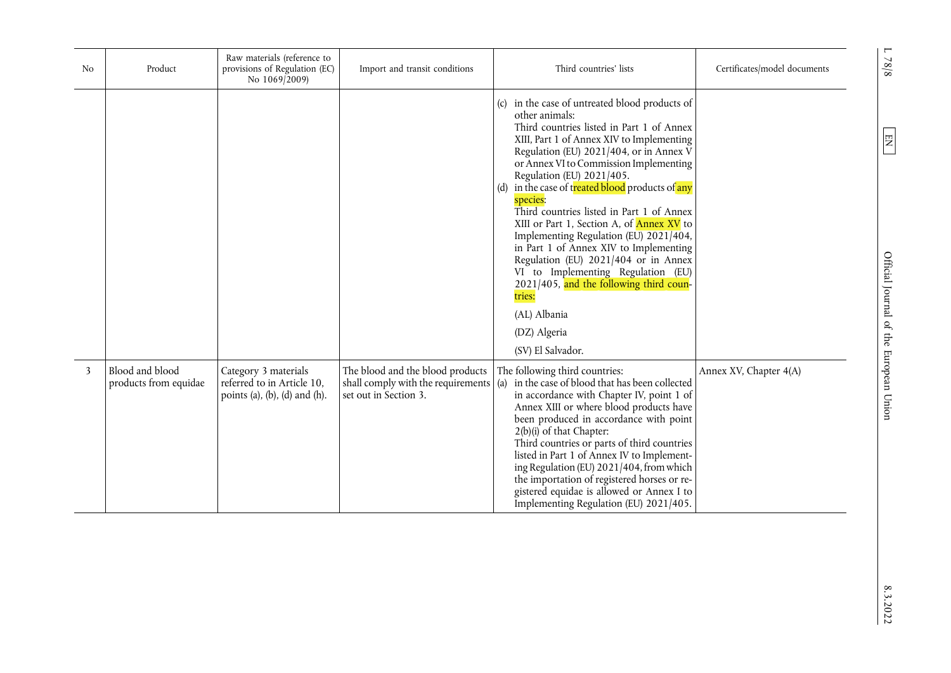| No | Product                                  | Raw materials (reference to<br>provisions of Regulation (EC)<br>No 1069/2009)       | Import and transit conditions                                                                   | Third countries' lists                                                                                                                                                                                                                                                                                                                                                                                                                                                                                                                                                                                                                                                                                            | Certificates/model documents |
|----|------------------------------------------|-------------------------------------------------------------------------------------|-------------------------------------------------------------------------------------------------|-------------------------------------------------------------------------------------------------------------------------------------------------------------------------------------------------------------------------------------------------------------------------------------------------------------------------------------------------------------------------------------------------------------------------------------------------------------------------------------------------------------------------------------------------------------------------------------------------------------------------------------------------------------------------------------------------------------------|------------------------------|
|    |                                          |                                                                                     |                                                                                                 | in the case of untreated blood products of<br>other animals:<br>Third countries listed in Part 1 of Annex<br>XIII, Part 1 of Annex XIV to Implementing<br>Regulation (EU) 2021/404, or in Annex V<br>or Annex VI to Commission Implementing<br>Regulation (EU) 2021/405.<br>in the case of treated blood products of any<br>species:<br>Third countries listed in Part 1 of Annex<br>XIII or Part 1, Section A, of <b>Annex XV</b> to<br>Implementing Regulation (EU) 2021/404,<br>in Part 1 of Annex XIV to Implementing<br>Regulation (EU) 2021/404 or in Annex<br>VI to Implementing Regulation (EU)<br>2021/405, and the following third coun-<br>tries:<br>(AL) Albania<br>(DZ) Algeria<br>(SV) El Salvador. |                              |
| 3  | Blood and blood<br>products from equidae | Category 3 materials<br>referred to in Article 10,<br>points (a), (b), (d) and (h). | The blood and the blood products<br>shall comply with the requirements<br>set out in Section 3. | The following third countries:<br>in the case of blood that has been collected<br>(a)<br>in accordance with Chapter IV, point 1 of<br>Annex XIII or where blood products have<br>been produced in accordance with point<br>2(b)(i) of that Chapter:<br>Third countries or parts of third countries<br>listed in Part 1 of Annex IV to Implement-<br>ing Regulation (EU) 2021/404, from which<br>the importation of registered horses or re-<br>gistered equidae is allowed or Annex I to<br>Implementing Regulation (EU) 2021/405.                                                                                                                                                                                | Annex XV, Chapter 4(A)       |

 $L$  78/8

 $\overline{\text{EN}}$ 

8.3.2022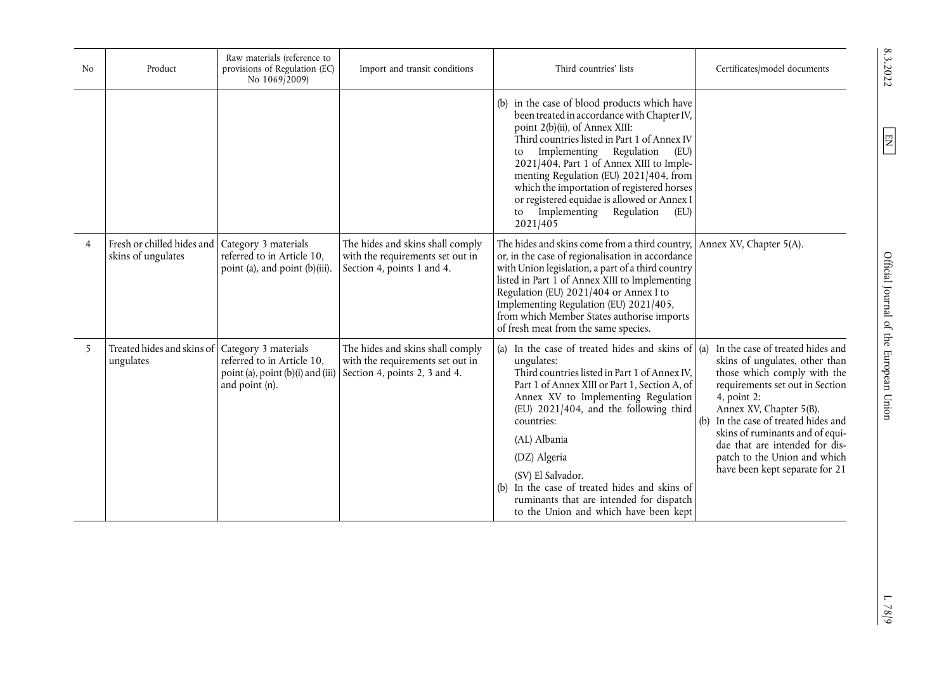| N <sub>o</sub> | Product                                                                 | Raw materials (reference to<br>provisions of Regulation (EC)<br>No 1069/2009)     | Import and transit conditions                                                                         | Third countries' lists                                                                                                                                                                                                                                                                                                                                                                                                                                            | Certificates/model documents                                                                                                                                                                                                                                                                                                                                  |
|----------------|-------------------------------------------------------------------------|-----------------------------------------------------------------------------------|-------------------------------------------------------------------------------------------------------|-------------------------------------------------------------------------------------------------------------------------------------------------------------------------------------------------------------------------------------------------------------------------------------------------------------------------------------------------------------------------------------------------------------------------------------------------------------------|---------------------------------------------------------------------------------------------------------------------------------------------------------------------------------------------------------------------------------------------------------------------------------------------------------------------------------------------------------------|
|                |                                                                         |                                                                                   |                                                                                                       | (b) in the case of blood products which have<br>been treated in accordance with Chapter IV,<br>point 2(b)(ii), of Annex XIII:<br>Third countries listed in Part 1 of Annex IV<br>Implementing Regulation<br>(EU)<br>to<br>2021/404, Part 1 of Annex XIII to Imple-<br>menting Regulation (EU) 2021/404, from<br>which the importation of registered horses<br>or registered equidae is allowed or Annex I<br>Implementing<br>Regulation<br>(EU)<br>to<br>2021/405 |                                                                                                                                                                                                                                                                                                                                                               |
| $\overline{4}$ | Fresh or chilled hides and   Category 3 materials<br>skins of ungulates | referred to in Article 10,<br>point (a), and point (b)(iii).                      | The hides and skins shall comply<br>with the requirements set out in<br>Section 4, points 1 and 4.    | The hides and skins come from a third country, Annex XV, Chapter 5(A).<br>or, in the case of regionalisation in accordance<br>with Union legislation, a part of a third country<br>listed in Part 1 of Annex XIII to Implementing<br>Regulation (EU) 2021/404 or Annex I to<br>Implementing Regulation (EU) 2021/405,<br>from which Member States authorise imports<br>of fresh meat from the same species.                                                       |                                                                                                                                                                                                                                                                                                                                                               |
| 5              | Treated hides and skins of   Category 3 materials<br>ungulates          | referred to in Article 10,<br>point (a), point (b)(i) and (iii)<br>and point (n). | The hides and skins shall comply<br>with the requirements set out in<br>Section 4, points 2, 3 and 4. | (a) In the case of treated hides and skins of $\alpha$<br>ungulates:<br>Third countries listed in Part 1 of Annex IV,<br>Part 1 of Annex XIII or Part 1, Section A, of<br>Annex XV to Implementing Regulation<br>(EU) 2021/404, and the following third<br>countries:<br>(AL) Albania<br>(DZ) Algeria<br>(SV) El Salvador.<br>(b) In the case of treated hides and skins of<br>ruminants that are intended for dispatch<br>to the Union and which have been kept  | In the case of treated hides and<br>skins of ungulates, other than<br>those which comply with the<br>requirements set out in Section<br>4, point 2:<br>Annex XV, Chapter 5(B).<br>(b) In the case of treated hides and<br>skins of ruminants and of equi-<br>dae that are intended for dis-<br>patch to the Union and which<br>have been kept separate for 21 |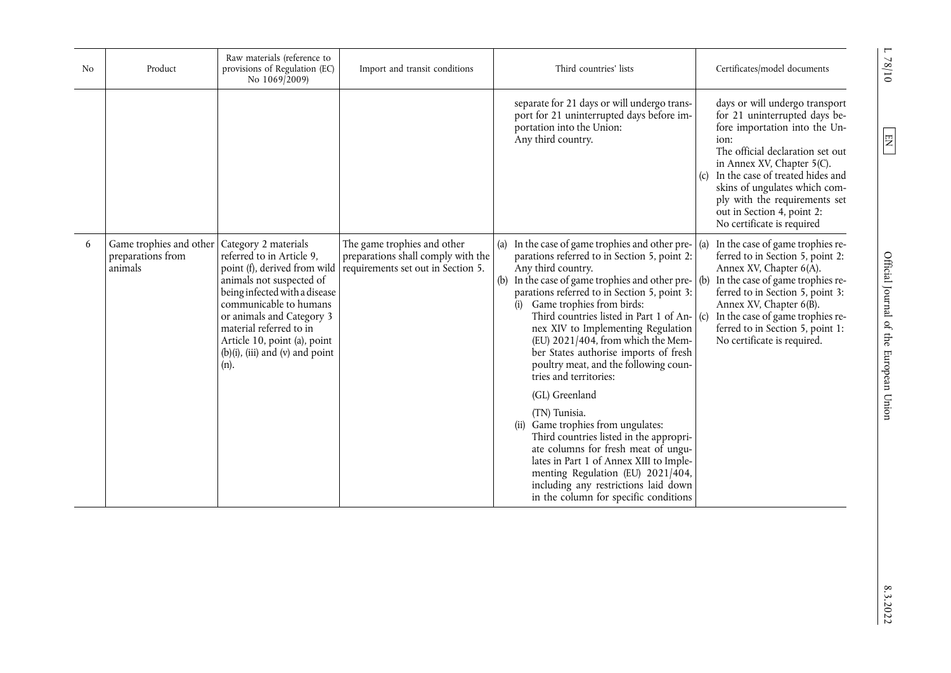| N <sub>o</sub> | Product                                                 | Raw materials (reference to<br>provisions of Regulation (EC)<br>No 1069/2009)                                                                                                                                                                                                                                  | Import and transit conditions                                                                           |            | Third countries' lists                                                                                                                                                                                                                                                                                                                                                                                                                                                                                               |     | Certificates/model documents                                                                                                                                                                                                                                                                                                                        |
|----------------|---------------------------------------------------------|----------------------------------------------------------------------------------------------------------------------------------------------------------------------------------------------------------------------------------------------------------------------------------------------------------------|---------------------------------------------------------------------------------------------------------|------------|----------------------------------------------------------------------------------------------------------------------------------------------------------------------------------------------------------------------------------------------------------------------------------------------------------------------------------------------------------------------------------------------------------------------------------------------------------------------------------------------------------------------|-----|-----------------------------------------------------------------------------------------------------------------------------------------------------------------------------------------------------------------------------------------------------------------------------------------------------------------------------------------------------|
|                |                                                         |                                                                                                                                                                                                                                                                                                                |                                                                                                         |            | separate for 21 days or will undergo trans-<br>port for 21 uninterrupted days before im-<br>portation into the Union:<br>Any third country.                                                                                                                                                                                                                                                                                                                                                                          |     | days or will undergo transport<br>for 21 uninterrupted days be-<br>fore importation into the Un-<br>ion:<br>The official declaration set out<br>in Annex XV, Chapter $5(C)$ .<br>(c) In the case of treated hides and<br>skins of ungulates which com-<br>ply with the requirements set<br>out in Section 4, point 2:<br>No certificate is required |
| 6              | Game trophies and other<br>preparations from<br>animals | Category 2 materials<br>referred to in Article 9,<br>point (f), derived from wild<br>animals not suspected of<br>being infected with a disease<br>communicable to humans<br>or animals and Category 3<br>material referred to in<br>Article 10, point (a), point<br>$(b)(i)$ , (iii) and (v) and point<br>(n). | The game trophies and other<br>preparations shall comply with the<br>requirements set out in Section 5. | (a)<br>(b) | In the case of game trophies and other pre-<br>parations referred to in Section 5, point 2:<br>Any third country.<br>In the case of game trophies and other pre- $($ b)<br>parations referred to in Section 5, point 3:<br>(i) Game trophies from birds:<br>Third countries listed in Part 1 of An- $ (c)$<br>nex XIV to Implementing Regulation<br>(EU) 2021/404, from which the Mem-<br>ber States authorise imports of fresh<br>poultry meat, and the following coun-<br>tries and territories:<br>(GL) Greenland | (a) | In the case of game trophies re-<br>ferred to in Section 5, point 2:<br>Annex XV, Chapter 6(A).<br>In the case of game trophies re-<br>ferred to in Section 5, point 3:<br>Annex XV, Chapter 6(B).<br>In the case of game trophies re-<br>ferred to in Section 5, point 1:<br>No certificate is required.                                           |
|                |                                                         |                                                                                                                                                                                                                                                                                                                |                                                                                                         |            | (TN) Tunisia.<br>(ii) Game trophies from ungulates:<br>Third countries listed in the appropri-<br>ate columns for fresh meat of ungu-<br>lates in Part 1 of Annex XIII to Imple-<br>menting Regulation (EU) 2021/404,<br>including any restrictions laid down<br>in the column for specific conditions                                                                                                                                                                                                               |     |                                                                                                                                                                                                                                                                                                                                                     |

 $01/8$  /  $1$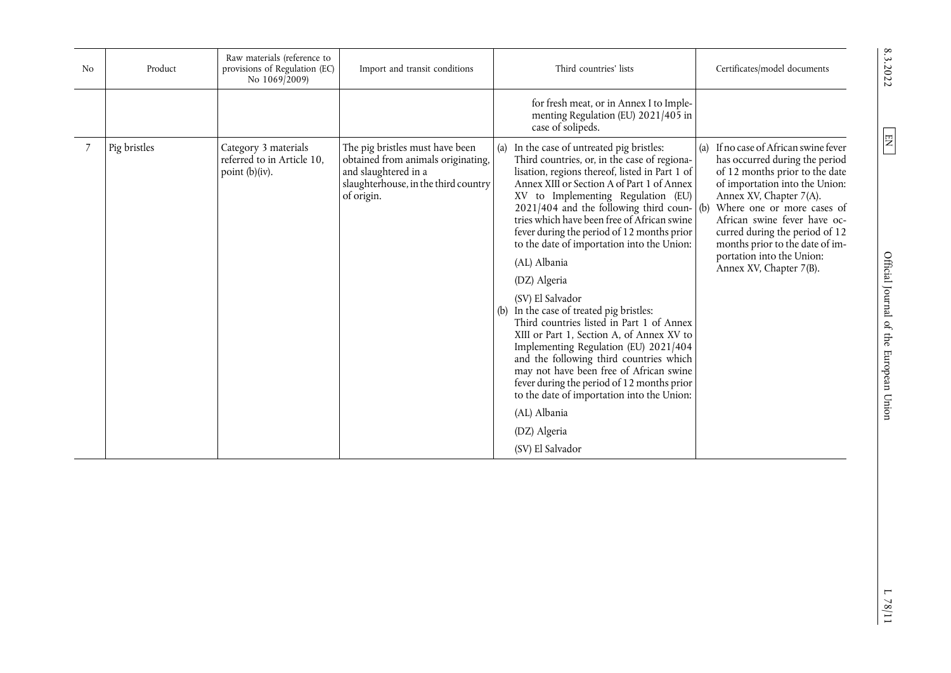| N <sub>0</sub> | Product      | Raw materials (reference to<br>provisions of Regulation (EC)<br>No 1069/2009) | Import and transit conditions                                                                                                                       | Third countries' lists                                                                                                                                                                                                                                                                                                                                                                                                                                                                                                                                                                                                                                                                                                                                                                                                                                                                               | Certificates/model documents                                                                                                                                                                                                                                                                                                                                      |
|----------------|--------------|-------------------------------------------------------------------------------|-----------------------------------------------------------------------------------------------------------------------------------------------------|------------------------------------------------------------------------------------------------------------------------------------------------------------------------------------------------------------------------------------------------------------------------------------------------------------------------------------------------------------------------------------------------------------------------------------------------------------------------------------------------------------------------------------------------------------------------------------------------------------------------------------------------------------------------------------------------------------------------------------------------------------------------------------------------------------------------------------------------------------------------------------------------------|-------------------------------------------------------------------------------------------------------------------------------------------------------------------------------------------------------------------------------------------------------------------------------------------------------------------------------------------------------------------|
|                |              |                                                                               |                                                                                                                                                     | for fresh meat, or in Annex I to Imple-<br>menting Regulation (EU) 2021/405 in<br>case of solipeds.                                                                                                                                                                                                                                                                                                                                                                                                                                                                                                                                                                                                                                                                                                                                                                                                  |                                                                                                                                                                                                                                                                                                                                                                   |
|                | Pig bristles | Category 3 materials<br>referred to in Article 10,<br>point $(b)(iv)$ .       | The pig bristles must have been<br>obtained from animals originating,<br>and slaughtered in a<br>slaughterhouse, in the third country<br>of origin. | (a) In the case of untreated pig bristles:<br>Third countries, or, in the case of regiona-<br>lisation, regions thereof, listed in Part 1 of<br>Annex XIII or Section A of Part 1 of Annex<br>XV to Implementing Regulation (EU)<br>$2021/404$ and the following third coun- (b)<br>tries which have been free of African swine<br>fever during the period of 12 months prior<br>to the date of importation into the Union:<br>(AL) Albania<br>(DZ) Algeria<br>(SV) El Salvador<br>(b) In the case of treated pig bristles:<br>Third countries listed in Part 1 of Annex<br>XIII or Part 1, Section A, of Annex XV to<br>Implementing Regulation (EU) 2021/404<br>and the following third countries which<br>may not have been free of African swine<br>fever during the period of 12 months prior<br>to the date of importation into the Union:<br>(AL) Albania<br>(DZ) Algeria<br>(SV) El Salvador | (a) If no case of African swine fever<br>has occurred during the period<br>of 12 months prior to the date<br>of importation into the Union:<br>Annex XV, Chapter 7(A).<br>Where one or more cases of<br>African swine fever have oc-<br>curred during the period of 12<br>months prior to the date of im-<br>portation into the Union:<br>Annex XV, Chapter 7(B). |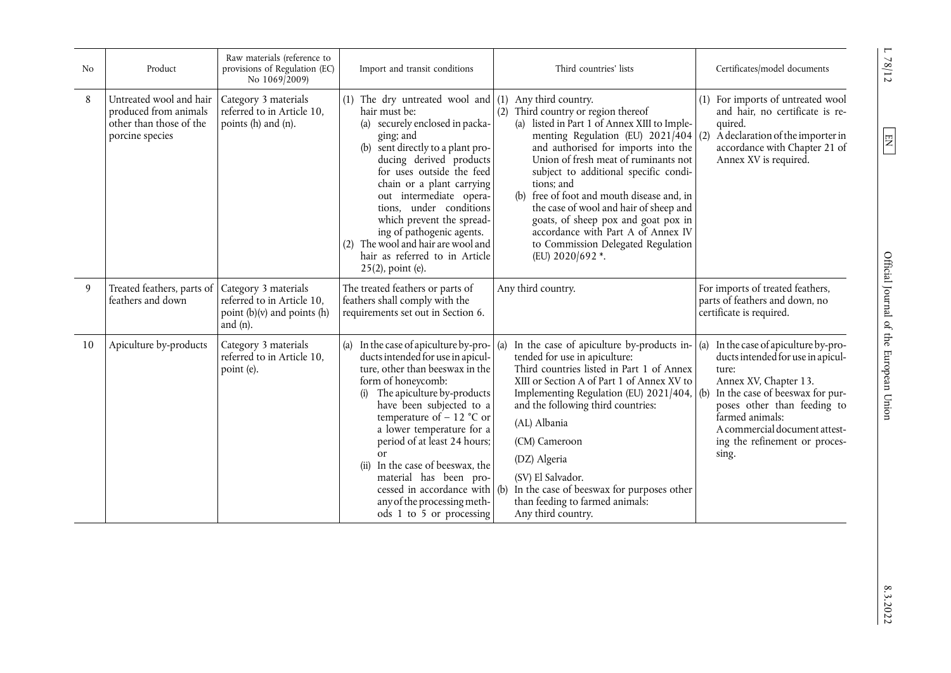| N <sub>0</sub> | Product                                                                                        | Raw materials (reference to<br>provisions of Regulation (EC)<br>No 1069/2009)                        | Import and transit conditions                                                                                                                                                                                                                                                                                                                                                                                                                                                  | Third countries' lists                                                                                                                                                                                                                                                                                                                                                                                                                                                                         | Certificates/model documents                                                                                                                                                                                                                                                    |
|----------------|------------------------------------------------------------------------------------------------|------------------------------------------------------------------------------------------------------|--------------------------------------------------------------------------------------------------------------------------------------------------------------------------------------------------------------------------------------------------------------------------------------------------------------------------------------------------------------------------------------------------------------------------------------------------------------------------------|------------------------------------------------------------------------------------------------------------------------------------------------------------------------------------------------------------------------------------------------------------------------------------------------------------------------------------------------------------------------------------------------------------------------------------------------------------------------------------------------|---------------------------------------------------------------------------------------------------------------------------------------------------------------------------------------------------------------------------------------------------------------------------------|
| 8              | Untreated wool and hair<br>produced from animals<br>other than those of the<br>porcine species | Category 3 materials<br>referred to in Article 10,<br>points (h) and (n).                            | (1) The dry untreated wool and $(1)$ Any third country.<br>hair must be:<br>securely enclosed in packa-<br>(a)<br>ging; and<br>(b) sent directly to a plant pro-<br>ducing derived products<br>for uses outside the feed<br>chain or a plant carrying<br>out intermediate opera-<br>tions, under conditions<br>which prevent the spread-<br>ing of pathogenic agents.<br>(2) The wool and hair are wool and<br>hair as referred to in Article<br>25(2), point (e).             | Third country or region thereof<br>(a) listed in Part 1 of Annex XIII to Imple-<br>menting Regulation (EU) $2021/404$ (2)<br>and authorised for imports into the<br>Union of fresh meat of ruminants not<br>subject to additional specific condi-<br>tions; and<br>(b) free of foot and mouth disease and, in<br>the case of wool and hair of sheep and<br>goats, of sheep pox and goat pox in<br>accordance with Part A of Annex IV<br>to Commission Delegated Regulation<br>(EU) 2020/692 *. | For imports of untreated wool<br>and hair, no certificate is re-<br>quired.<br>A declaration of the importer in<br>accordance with Chapter 21 of<br>Annex XV is required.                                                                                                       |
| 9              | Treated feathers, parts of<br>feathers and down                                                | Category 3 materials<br>referred to in Article 10,<br>point $(b)(v)$ and points $(h)$<br>and $(n)$ . | The treated feathers or parts of<br>feathers shall comply with the<br>requirements set out in Section 6.                                                                                                                                                                                                                                                                                                                                                                       | Any third country.                                                                                                                                                                                                                                                                                                                                                                                                                                                                             | For imports of treated feathers,<br>parts of feathers and down, no<br>certificate is required.                                                                                                                                                                                  |
| 10             | Apiculture by-products                                                                         | Category 3 materials<br>referred to in Article 10.<br>point (e).                                     | (a) In the case of apiculture by-pro- $\vert$ (a)<br>ducts intended for use in apicul-<br>ture, other than beeswax in the<br>form of honeycomb:<br>The apiculture by-products<br>(i)<br>have been subjected to a<br>temperature of $-12$ °C or<br>a lower temperature for a<br>period of at least 24 hours;<br>or<br>In the case of beeswax, the<br>(ii)<br>material has been pro-<br>cessed in accordance with (b)<br>any of the processing meth-<br>ods 1 to 5 or processing | In the case of apiculture by-products in-<br>tended for use in apiculture:<br>Third countries listed in Part 1 of Annex<br>XIII or Section A of Part 1 of Annex XV to<br>Implementing Regulation (EU) 2021/404, (b)<br>and the following third countries:<br>(AL) Albania<br>(CM) Cameroon<br>(DZ) Algeria<br>(SV) El Salvador.<br>In the case of beeswax for purposes other<br>than feeding to farmed animals:<br>Any third country.                                                          | (a)<br>In the case of apiculture by-pro-<br>ducts intended for use in apicul-<br>ture:<br>Annex XV, Chapter 13.<br>In the case of beeswax for pur-<br>poses other than feeding to<br>farmed animals:<br>A commercial document attest-<br>ing the refinement or proces-<br>sing. |

<span id="page-11-0"></span>L 78/12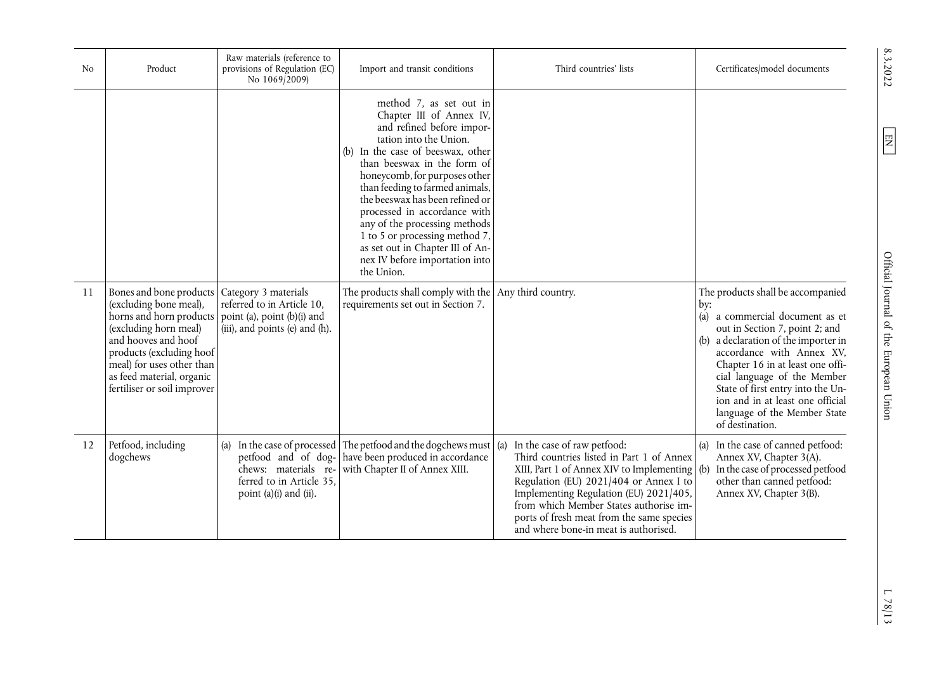| N <sub>0</sub> | Product                                                                                                                                                                                                                                                                  | Raw materials (reference to<br>provisions of Regulation (EC)<br>No 1069/2009)                                                     | Import and transit conditions                                                                                                                                                                                                                                                                                                                                                                                                                                                | Third countries' lists                                                                                                                                                                                                                                                                                                                            | Certificates/model documents                                                                                                                                                                                                                                                                                                                                                      |
|----------------|--------------------------------------------------------------------------------------------------------------------------------------------------------------------------------------------------------------------------------------------------------------------------|-----------------------------------------------------------------------------------------------------------------------------------|------------------------------------------------------------------------------------------------------------------------------------------------------------------------------------------------------------------------------------------------------------------------------------------------------------------------------------------------------------------------------------------------------------------------------------------------------------------------------|---------------------------------------------------------------------------------------------------------------------------------------------------------------------------------------------------------------------------------------------------------------------------------------------------------------------------------------------------|-----------------------------------------------------------------------------------------------------------------------------------------------------------------------------------------------------------------------------------------------------------------------------------------------------------------------------------------------------------------------------------|
|                |                                                                                                                                                                                                                                                                          |                                                                                                                                   | method 7, as set out in<br>Chapter III of Annex IV,<br>and refined before impor-<br>tation into the Union.<br>(b) In the case of beeswax, other<br>than beeswax in the form of<br>honeycomb, for purposes other<br>than feeding to farmed animals,<br>the beeswax has been refined or<br>processed in accordance with<br>any of the processing methods<br>1 to 5 or processing method 7,<br>as set out in Chapter III of An-<br>nex IV before importation into<br>the Union. |                                                                                                                                                                                                                                                                                                                                                   |                                                                                                                                                                                                                                                                                                                                                                                   |
| 11             | Bones and bone products   Category 3 materials<br>(excluding bone meal),<br>horns and horn products<br>(excluding horn meal)<br>and hooves and hoof<br>products (excluding hoof<br>meal) for uses other than<br>as feed material, organic<br>fertiliser or soil improver | referred to in Article 10,<br>point (a), point (b)(i) and<br>(iii), and points (e) and (h).                                       | The products shall comply with the Any third country.<br>requirements set out in Section 7.                                                                                                                                                                                                                                                                                                                                                                                  |                                                                                                                                                                                                                                                                                                                                                   | The products shall be accompanied<br>by:<br>(a) a commercial document as et<br>out in Section 7, point 2; and<br>(b) a declaration of the importer in<br>accordance with Annex XV,<br>Chapter 16 in at least one offi-<br>cial language of the Member<br>State of first entry into the Un-<br>ion and in at least one official<br>language of the Member State<br>of destination. |
| 12             | Petfood, including<br>dogchews                                                                                                                                                                                                                                           | (a) In the case of processed<br>petfood and of dog-<br>chews: materials re-<br>ferred to in Article 35.<br>point (a)(i) and (ii). | The petfood and the dogchews must $\vert$ (a)<br>have been produced in accordance<br>with Chapter II of Annex XIII.                                                                                                                                                                                                                                                                                                                                                          | In the case of raw petfood:<br>Third countries listed in Part 1 of Annex<br>XIII, Part 1 of Annex XIV to Implementing $ $ (b)<br>Regulation (EU) 2021/404 or Annex I to<br>Implementing Regulation (EU) 2021/405,<br>from which Member States authorise im-<br>ports of fresh meat from the same species<br>and where bone-in meat is authorised. | (a) In the case of canned petfood:<br>Annex XV, Chapter 3(A).<br>In the case of processed petfood<br>other than canned petfood:<br>Annex XV, Chapter 3(B).                                                                                                                                                                                                                        |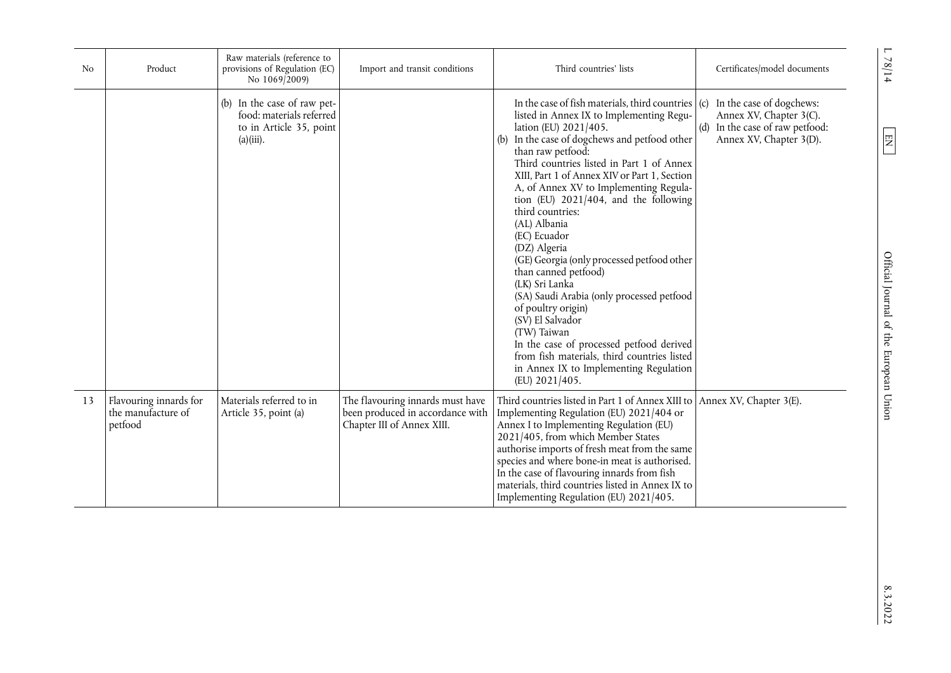| N <sub>0</sub> | Product                                                 | Raw materials (reference to<br>provisions of Regulation (EC)<br>No 1069/2009)                      | Import and transit conditions                                                                      | Third countries' lists                                                                                                                                                                                                                                                                                                                                                                                                                                                                                                                                                                                                                                                                                                                                                                                   | Certificates/model documents                                                                                             |
|----------------|---------------------------------------------------------|----------------------------------------------------------------------------------------------------|----------------------------------------------------------------------------------------------------|----------------------------------------------------------------------------------------------------------------------------------------------------------------------------------------------------------------------------------------------------------------------------------------------------------------------------------------------------------------------------------------------------------------------------------------------------------------------------------------------------------------------------------------------------------------------------------------------------------------------------------------------------------------------------------------------------------------------------------------------------------------------------------------------------------|--------------------------------------------------------------------------------------------------------------------------|
|                |                                                         | (b) In the case of raw pet-<br>food: materials referred<br>to in Article 35, point<br>$(a)(iii)$ . |                                                                                                    | In the case of fish materials, third countries<br>listed in Annex IX to Implementing Regu-<br>lation (EU) 2021/405.<br>In the case of dogchews and petfood other<br>(b)<br>than raw petfood:<br>Third countries listed in Part 1 of Annex<br>XIII, Part 1 of Annex XIV or Part 1, Section<br>A, of Annex XV to Implementing Regula-<br>tion (EU) $2021/404$ , and the following<br>third countries:<br>(AL) Albania<br>(EC) Ecuador<br>(DZ) Algeria<br>(GE) Georgia (only processed petfood other<br>than canned petfood)<br>(LK) Sri Lanka<br>(SA) Saudi Arabia (only processed petfood<br>of poultry origin)<br>(SV) El Salvador<br>(TW) Taiwan<br>In the case of processed petfood derived<br>from fish materials, third countries listed<br>in Annex IX to Implementing Regulation<br>(EU) 2021/405. | In the case of dogchews:<br>(c)<br>Annex XV, Chapter 3(C).<br>(d) In the case of raw petfood:<br>Annex XV, Chapter 3(D). |
| 13             | Flavouring innards for<br>the manufacture of<br>petfood | Materials referred to in<br>Article 35, point (a)                                                  | The flavouring innards must have<br>been produced in accordance with<br>Chapter III of Annex XIII. | Third countries listed in Part 1 of Annex XIII to<br>Implementing Regulation (EU) 2021/404 or<br>Annex I to Implementing Regulation (EU)<br>2021/405, from which Member States<br>authorise imports of fresh meat from the same<br>species and where bone-in meat is authorised.<br>In the case of flavouring innards from fish<br>materials, third countries listed in Annex IX to<br>Implementing Regulation (EU) 2021/405.                                                                                                                                                                                                                                                                                                                                                                            | Annex XV, Chapter 3(E).                                                                                                  |

 $L$  78/14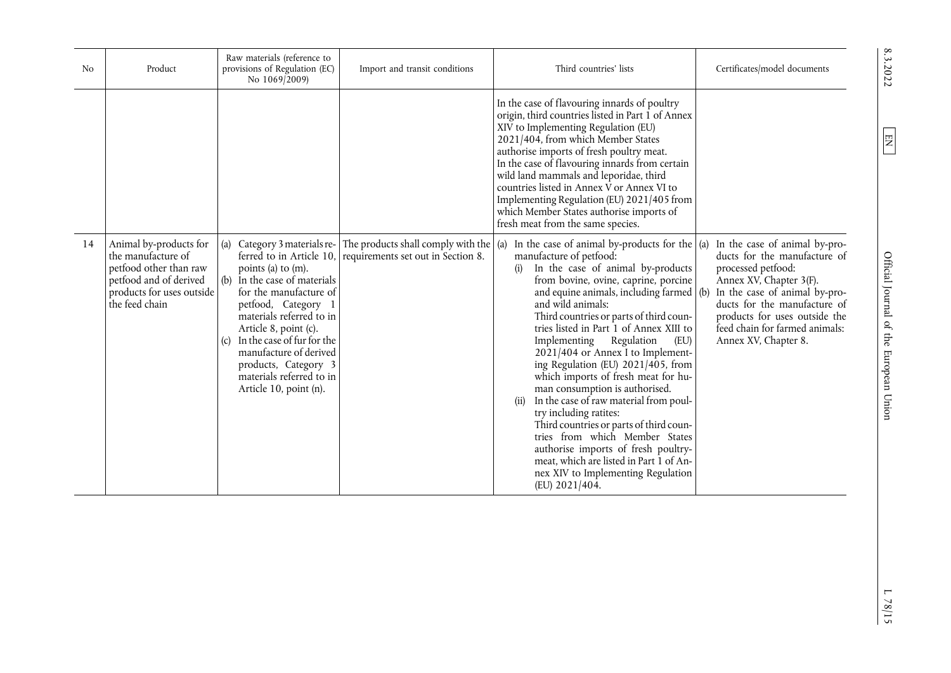| N <sub>0</sub> | Product                                                                                                                                         | Raw materials (reference to<br>provisions of Regulation (EC)<br>No 1069/2009)                                                                                                                                                                                                                                | Import and transit conditions                                                                                                       | Third countries' lists                                                                                                                                                                                                                                                                                                                                                                                                                                                                                                                                                                                                                                                                                                                                                                                                      | Certificates/model documents                                                                                                                                                                                                                                               |
|----------------|-------------------------------------------------------------------------------------------------------------------------------------------------|--------------------------------------------------------------------------------------------------------------------------------------------------------------------------------------------------------------------------------------------------------------------------------------------------------------|-------------------------------------------------------------------------------------------------------------------------------------|-----------------------------------------------------------------------------------------------------------------------------------------------------------------------------------------------------------------------------------------------------------------------------------------------------------------------------------------------------------------------------------------------------------------------------------------------------------------------------------------------------------------------------------------------------------------------------------------------------------------------------------------------------------------------------------------------------------------------------------------------------------------------------------------------------------------------------|----------------------------------------------------------------------------------------------------------------------------------------------------------------------------------------------------------------------------------------------------------------------------|
|                |                                                                                                                                                 |                                                                                                                                                                                                                                                                                                              |                                                                                                                                     | In the case of flavouring innards of poultry<br>origin, third countries listed in Part 1 of Annex<br>XIV to Implementing Regulation (EU)<br>2021/404, from which Member States<br>authorise imports of fresh poultry meat.<br>In the case of flavouring innards from certain<br>wild land mammals and leporidae, third<br>countries listed in Annex V or Annex VI to<br>Implementing Regulation (EU) 2021/405 from<br>which Member States authorise imports of<br>fresh meat from the same species.                                                                                                                                                                                                                                                                                                                         |                                                                                                                                                                                                                                                                            |
| 14             | Animal by-products for<br>the manufacture of<br>petfood other than raw<br>petfood and of derived<br>products for uses outside<br>the feed chain | (a)<br>points (a) to (m).<br>(b) In the case of materials<br>for the manufacture of<br>petfood, Category 1<br>materials referred to in<br>Article 8, point (c).<br>In the case of fur for the<br>(c)<br>manufacture of derived<br>products, Category 3<br>materials referred to in<br>Article 10, point (n). | Category 3 materials re- The products shall comply with the $\alpha$<br>ferred to in Article 10, requirements set out in Section 8. | In the case of animal by-products for the $\alpha$<br>manufacture of petfood:<br>In the case of animal by-products<br>(i)<br>from bovine, ovine, caprine, porcine<br>and equine animals, including farmed $($ b $)$<br>and wild animals:<br>Third countries or parts of third coun-<br>tries listed in Part 1 of Annex XIII to<br>Regulation<br>(EU)<br>Implementing<br>2021/404 or Annex I to Implement-<br>ing Regulation (EU) 2021/405, from<br>which imports of fresh meat for hu-<br>man consumption is authorised.<br>In the case of raw material from poul-<br>(ii)<br>try including ratites:<br>Third countries or parts of third coun-<br>tries from which Member States<br>authorise imports of fresh poultry-<br>meat, which are listed in Part 1 of An-<br>nex XIV to Implementing Regulation<br>(EU) 2021/404. | In the case of animal by-pro-<br>ducts for the manufacture of<br>processed petfood:<br>Annex XV, Chapter 3(F).<br>In the case of animal by-pro-<br>ducts for the manufacture of<br>products for uses outside the<br>feed chain for farmed animals:<br>Annex XV, Chapter 8. |

8.3.2022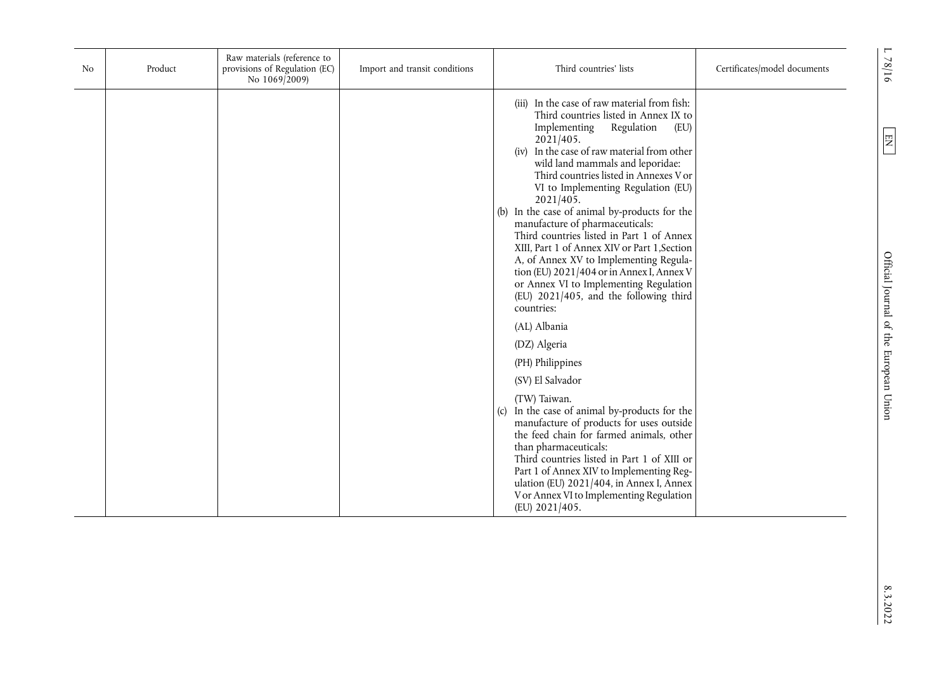| No | Product | Raw materials (reference to<br>provisions of Regulation (EC)<br>No 1069/2009) | Import and transit conditions | Third countries' lists                                                                                                                                                                                                                                                                                                                                                                                                                                                                                                                                                                                                                                                                             | Certificates/model documents | $\blacksquare$<br>78/16                |
|----|---------|-------------------------------------------------------------------------------|-------------------------------|----------------------------------------------------------------------------------------------------------------------------------------------------------------------------------------------------------------------------------------------------------------------------------------------------------------------------------------------------------------------------------------------------------------------------------------------------------------------------------------------------------------------------------------------------------------------------------------------------------------------------------------------------------------------------------------------------|------------------------------|----------------------------------------|
|    |         |                                                                               |                               | (iii) In the case of raw material from fish:<br>Third countries listed in Annex IX to<br>Implementing<br>Regulation<br>(EU)<br>2021/405.<br>(iv) In the case of raw material from other<br>wild land mammals and leporidae:<br>Third countries listed in Annexes V or<br>VI to Implementing Regulation (EU)<br>2021/405.<br>(b) In the case of animal by-products for the<br>manufacture of pharmaceuticals:<br>Third countries listed in Part 1 of Annex<br>XIII, Part 1 of Annex XIV or Part 1, Section<br>A, of Annex XV to Implementing Regula-<br>tion (EU) 2021/404 or in Annex I, Annex V<br>or Annex VI to Implementing Regulation<br>(EU) 2021/405, and the following third<br>countries: |                              | $\boxed{\Xi}$                          |
|    |         |                                                                               |                               | (AL) Albania<br>(DZ) Algeria<br>(PH) Philippines<br>(SV) El Salvador<br>(TW) Taiwan.<br>(c) In the case of animal by-products for the<br>manufacture of products for uses outside<br>the feed chain for farmed animals, other<br>than pharmaceuticals:<br>Third countries listed in Part 1 of XIII or<br>Part 1 of Annex XIV to Implementing Reg-<br>ulation (EU) 2021/404, in Annex I, Annex<br>V or Annex VI to Implementing Regulation<br>(EU) 2021/405.                                                                                                                                                                                                                                        |                              | Official Journal of the European Union |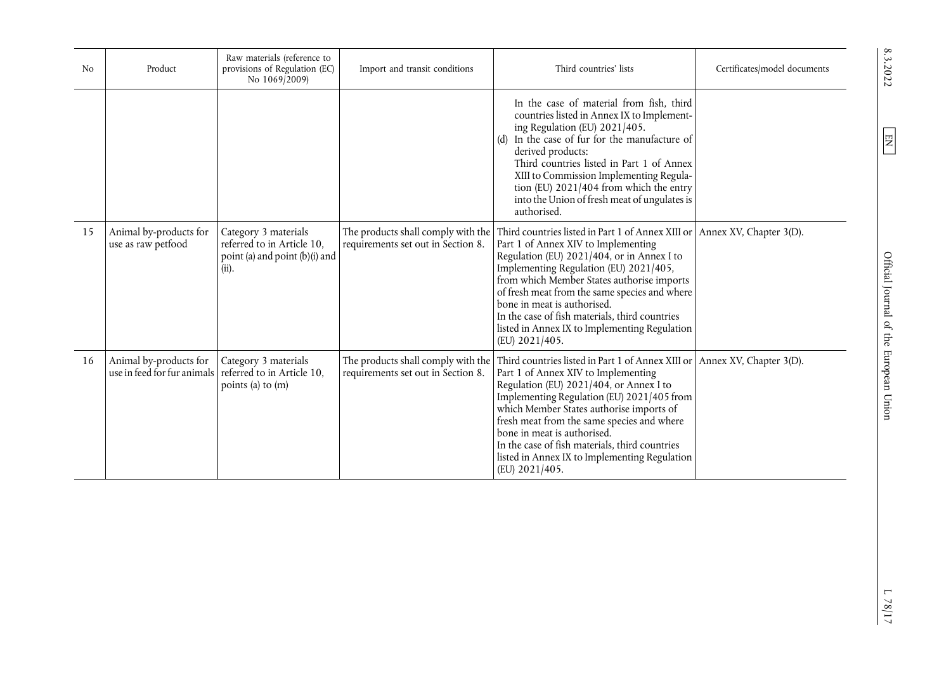| N <sub>0</sub> | Product                                               | Raw materials (reference to<br>provisions of Regulation (EC)<br>No 1069/2009)                 | Import and transit conditions                                            | Third countries' lists                                                                                                                                                                                                                                                                                                                                                                                                              | Certificates/model documents |
|----------------|-------------------------------------------------------|-----------------------------------------------------------------------------------------------|--------------------------------------------------------------------------|-------------------------------------------------------------------------------------------------------------------------------------------------------------------------------------------------------------------------------------------------------------------------------------------------------------------------------------------------------------------------------------------------------------------------------------|------------------------------|
|                |                                                       |                                                                                               |                                                                          | In the case of material from fish, third<br>countries listed in Annex IX to Implement-<br>ing Regulation (EU) 2021/405.<br>In the case of fur for the manufacture of<br>(d)<br>derived products:<br>Third countries listed in Part 1 of Annex<br>XIII to Commission Implementing Regula-<br>tion (EU) 2021/404 from which the entry<br>into the Union of fresh meat of ungulates is<br>authorised.                                  |                              |
| 15             | Animal by-products for<br>use as raw petfood          | Category 3 materials<br>referred to in Article 10,<br>point (a) and point (b)(i) and<br>(ii). | The products shall comply with the<br>requirements set out in Section 8. | Third countries listed in Part 1 of Annex XIII or<br>Part 1 of Annex XIV to Implementing<br>Regulation (EU) 2021/404, or in Annex I to<br>Implementing Regulation (EU) 2021/405,<br>from which Member States authorise imports<br>of fresh meat from the same species and where<br>bone in meat is authorised.<br>In the case of fish materials, third countries<br>listed in Annex IX to Implementing Regulation<br>(EU) 2021/405. | Annex XV, Chapter 3(D).      |
| 16             | Animal by-products for<br>use in feed for fur animals | Category 3 materials<br>referred to in Article 10,<br>points (a) to (m)                       | The products shall comply with the<br>requirements set out in Section 8. | Third countries listed in Part 1 of Annex XIII or<br>Part 1 of Annex XIV to Implementing<br>Regulation (EU) 2021/404, or Annex I to<br>Implementing Regulation (EU) 2021/405 from<br>which Member States authorise imports of<br>fresh meat from the same species and where<br>bone in meat is authorised.<br>In the case of fish materials, third countries<br>listed in Annex IX to Implementing Regulation<br>(EU) 2021/405.     | Annex XV, Chapter 3(D).      |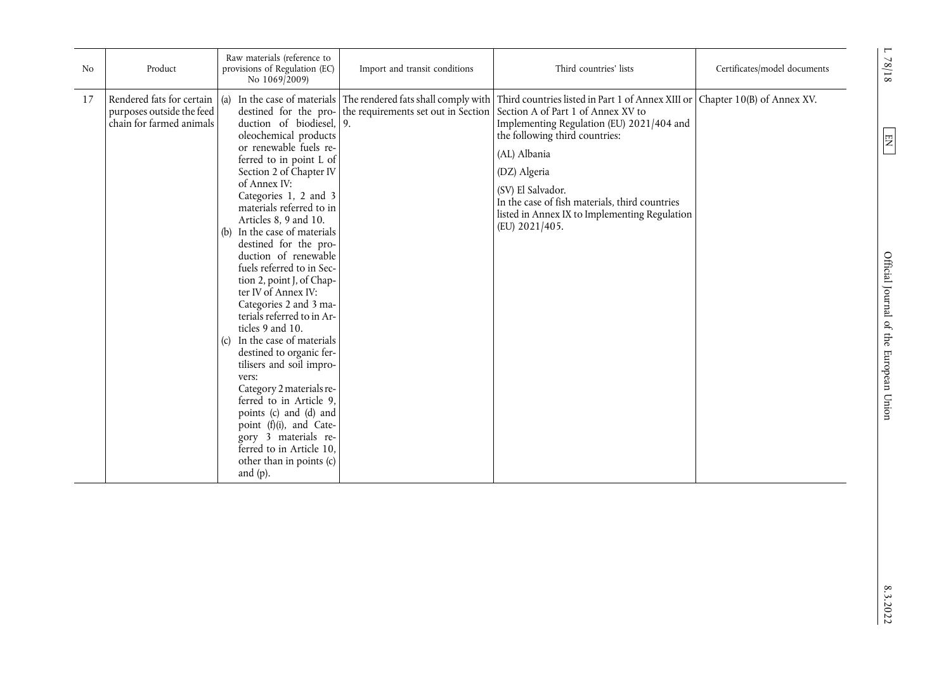| N <sub>o</sub> | Product                                                                                | Raw materials (reference to<br>provisions of Regulation (EC)<br>No 1069/2009)                                                                                                                                                                                                                                                                                                                                                                                                                                                                                                                                                                                                                                                                        | Import and transit conditions | Third countries' lists                                                                                                                                                                                                                                                                                                                                                                                                                                                                     | Certificates/model documents | $78/18$                                          |
|----------------|----------------------------------------------------------------------------------------|------------------------------------------------------------------------------------------------------------------------------------------------------------------------------------------------------------------------------------------------------------------------------------------------------------------------------------------------------------------------------------------------------------------------------------------------------------------------------------------------------------------------------------------------------------------------------------------------------------------------------------------------------------------------------------------------------------------------------------------------------|-------------------------------|--------------------------------------------------------------------------------------------------------------------------------------------------------------------------------------------------------------------------------------------------------------------------------------------------------------------------------------------------------------------------------------------------------------------------------------------------------------------------------------------|------------------------------|--------------------------------------------------|
| 17             | Rendered fats for certain (a)<br>purposes outside the feed<br>chain for farmed animals | duction of biodiesel, 9.<br>oleochemical products<br>or renewable fuels re-<br>ferred to in point L of<br>Section 2 of Chapter IV<br>of Annex IV:<br>Categories 1, 2 and 3<br>materials referred to in<br>Articles 8, 9 and 10.<br>In the case of materials<br>(b)<br>destined for the pro-<br>duction of renewable<br>fuels referred to in Sec-<br>tion 2, point J, of Chap-<br>ter IV of Annex IV:<br>Categories 2 and 3 ma-<br>terials referred to in Ar-<br>ticles 9 and 10.<br>In the case of materials<br>(c)<br>destined to organic fer-<br>tilisers and soil impro-<br>vers:<br>Category 2 materials re-<br>ferred to in Article 9,<br>points (c) and (d) and<br>point (f)(i), and Cate-<br>gory 3 materials re-<br>ferred to in Article 10, |                               | In the case of materials The rendered fats shall comply with Third countries listed in Part 1 of Annex XIII or Chapter 10(B) of Annex XV.<br>destined for the pro- the requirements set out in Section A of Part 1 of Annex XV to<br>Implementing Regulation (EU) 2021/404 and<br>the following third countries:<br>(AL) Albania<br>(DZ) Algeria<br>(SV) El Salvador.<br>In the case of fish materials, third countries<br>listed in Annex IX to Implementing Regulation<br>(EU) 2021/405. |                              | $E\!N$<br>Official Journal of the European Union |
|                |                                                                                        | other than in points (c)<br>and $(p)$ .                                                                                                                                                                                                                                                                                                                                                                                                                                                                                                                                                                                                                                                                                                              |                               |                                                                                                                                                                                                                                                                                                                                                                                                                                                                                            |                              |                                                  |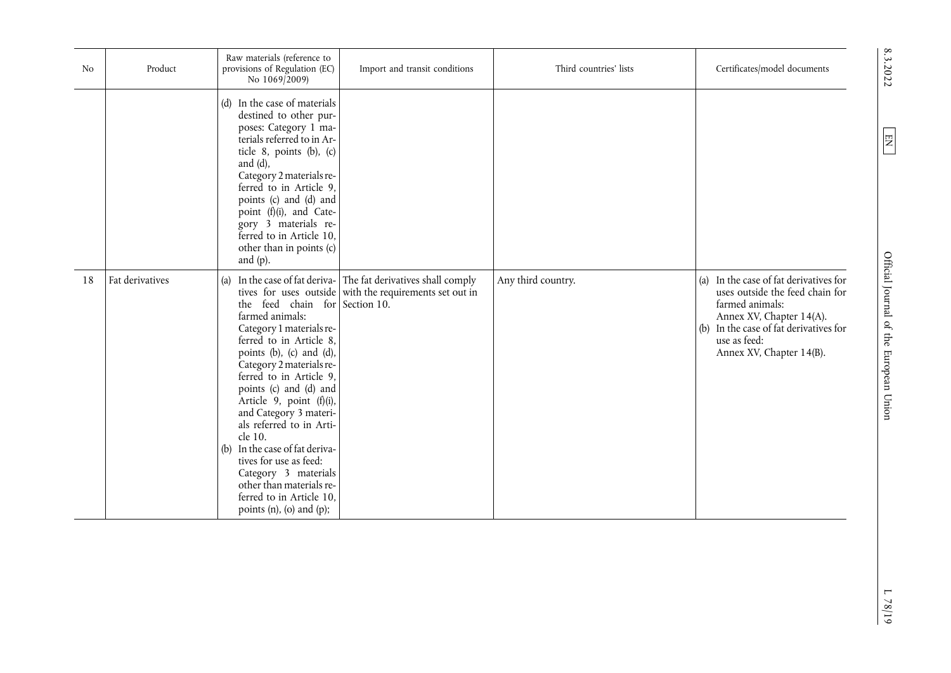| No | Product         | Raw materials (reference to<br>provisions of Regulation (EC)<br>No 1069/2009)                                                                                                                                                                                                                                                                                                                                                                                                                             | Import and transit conditions                                                                                          | Third countries' lists | Certificates/model documents                                                                                                                                                                                   |
|----|-----------------|-----------------------------------------------------------------------------------------------------------------------------------------------------------------------------------------------------------------------------------------------------------------------------------------------------------------------------------------------------------------------------------------------------------------------------------------------------------------------------------------------------------|------------------------------------------------------------------------------------------------------------------------|------------------------|----------------------------------------------------------------------------------------------------------------------------------------------------------------------------------------------------------------|
|    |                 | (d) In the case of materials<br>destined to other pur-<br>poses: Category 1 ma-<br>terials referred to in Ar-<br>ticle 8, points (b), (c)<br>and $(d)$ ,<br>Category 2 materials re-<br>ferred to in Article 9,<br>points (c) and (d) and<br>point (f)(i), and Cate-<br>gory 3 materials re-<br>ferred to in Article 10,<br>other than in points (c)<br>and $(p)$ .                                                                                                                                       |                                                                                                                        |                        |                                                                                                                                                                                                                |
| 18 | Fat derivatives | (a)<br>the feed chain for Section 10.<br>farmed animals:<br>Category 1 materials re-<br>ferred to in Article 8,<br>points (b), (c) and (d),<br>Category 2 materials re-<br>ferred to in Article 9,<br>points (c) and (d) and<br>Article 9, point (f)(i),<br>and Category 3 materi-<br>als referred to in Arti-<br>cle 10.<br>(b) In the case of fat deriva-<br>tives for use as feed:<br>Category 3 materials<br>other than materials re-<br>ferred to in Article 10,<br>points $(n)$ , $(o)$ and $(p)$ ; | In the case of fat deriva- The fat derivatives shall comply<br>tives for uses outside with the requirements set out in | Any third country.     | (a) In the case of fat derivatives for<br>uses outside the feed chain for<br>farmed animals:<br>Annex XV, Chapter 14(A).<br>(b) In the case of fat derivatives for<br>use as feed:<br>Annex XV, Chapter 14(B). |

8.3.2022